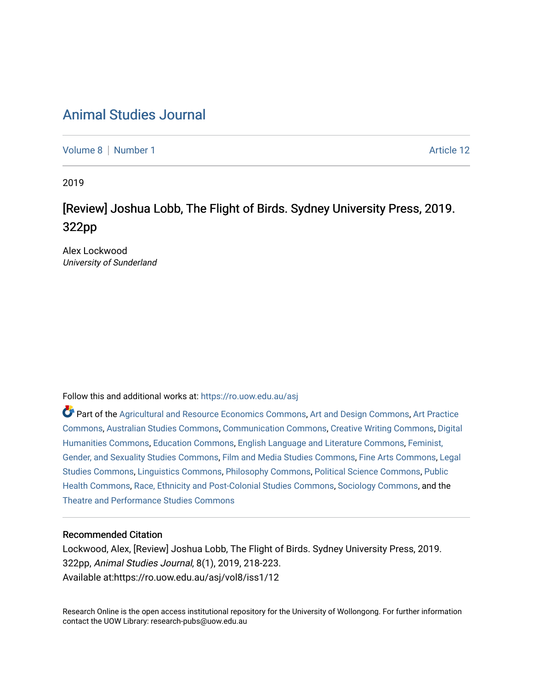## [Animal Studies Journal](https://ro.uow.edu.au/asj)

[Volume 8](https://ro.uow.edu.au/asj/vol8) | [Number 1](https://ro.uow.edu.au/asj/vol8/iss1) Article 12

2019

# [Review] Joshua Lobb, The Flight of Birds. Sydney University Press, 2019. 322pp

Alex Lockwood University of Sunderland

Follow this and additional works at: [https://ro.uow.edu.au/asj](https://ro.uow.edu.au/asj?utm_source=ro.uow.edu.au%2Fasj%2Fvol8%2Fiss1%2F12&utm_medium=PDF&utm_campaign=PDFCoverPages) 

Part of the [Agricultural and Resource Economics Commons,](http://network.bepress.com/hgg/discipline/317?utm_source=ro.uow.edu.au%2Fasj%2Fvol8%2Fiss1%2F12&utm_medium=PDF&utm_campaign=PDFCoverPages) [Art and Design Commons](http://network.bepress.com/hgg/discipline/1049?utm_source=ro.uow.edu.au%2Fasj%2Fvol8%2Fiss1%2F12&utm_medium=PDF&utm_campaign=PDFCoverPages), [Art Practice](http://network.bepress.com/hgg/discipline/509?utm_source=ro.uow.edu.au%2Fasj%2Fvol8%2Fiss1%2F12&utm_medium=PDF&utm_campaign=PDFCoverPages) [Commons](http://network.bepress.com/hgg/discipline/509?utm_source=ro.uow.edu.au%2Fasj%2Fvol8%2Fiss1%2F12&utm_medium=PDF&utm_campaign=PDFCoverPages), [Australian Studies Commons,](http://network.bepress.com/hgg/discipline/1020?utm_source=ro.uow.edu.au%2Fasj%2Fvol8%2Fiss1%2F12&utm_medium=PDF&utm_campaign=PDFCoverPages) [Communication Commons,](http://network.bepress.com/hgg/discipline/325?utm_source=ro.uow.edu.au%2Fasj%2Fvol8%2Fiss1%2F12&utm_medium=PDF&utm_campaign=PDFCoverPages) [Creative Writing Commons,](http://network.bepress.com/hgg/discipline/574?utm_source=ro.uow.edu.au%2Fasj%2Fvol8%2Fiss1%2F12&utm_medium=PDF&utm_campaign=PDFCoverPages) [Digital](http://network.bepress.com/hgg/discipline/1286?utm_source=ro.uow.edu.au%2Fasj%2Fvol8%2Fiss1%2F12&utm_medium=PDF&utm_campaign=PDFCoverPages) [Humanities Commons,](http://network.bepress.com/hgg/discipline/1286?utm_source=ro.uow.edu.au%2Fasj%2Fvol8%2Fiss1%2F12&utm_medium=PDF&utm_campaign=PDFCoverPages) [Education Commons,](http://network.bepress.com/hgg/discipline/784?utm_source=ro.uow.edu.au%2Fasj%2Fvol8%2Fiss1%2F12&utm_medium=PDF&utm_campaign=PDFCoverPages) [English Language and Literature Commons](http://network.bepress.com/hgg/discipline/455?utm_source=ro.uow.edu.au%2Fasj%2Fvol8%2Fiss1%2F12&utm_medium=PDF&utm_campaign=PDFCoverPages), [Feminist,](http://network.bepress.com/hgg/discipline/559?utm_source=ro.uow.edu.au%2Fasj%2Fvol8%2Fiss1%2F12&utm_medium=PDF&utm_campaign=PDFCoverPages) [Gender, and Sexuality Studies Commons](http://network.bepress.com/hgg/discipline/559?utm_source=ro.uow.edu.au%2Fasj%2Fvol8%2Fiss1%2F12&utm_medium=PDF&utm_campaign=PDFCoverPages), [Film and Media Studies Commons](http://network.bepress.com/hgg/discipline/563?utm_source=ro.uow.edu.au%2Fasj%2Fvol8%2Fiss1%2F12&utm_medium=PDF&utm_campaign=PDFCoverPages), [Fine Arts Commons,](http://network.bepress.com/hgg/discipline/1141?utm_source=ro.uow.edu.au%2Fasj%2Fvol8%2Fiss1%2F12&utm_medium=PDF&utm_campaign=PDFCoverPages) [Legal](http://network.bepress.com/hgg/discipline/366?utm_source=ro.uow.edu.au%2Fasj%2Fvol8%2Fiss1%2F12&utm_medium=PDF&utm_campaign=PDFCoverPages)  [Studies Commons,](http://network.bepress.com/hgg/discipline/366?utm_source=ro.uow.edu.au%2Fasj%2Fvol8%2Fiss1%2F12&utm_medium=PDF&utm_campaign=PDFCoverPages) [Linguistics Commons,](http://network.bepress.com/hgg/discipline/371?utm_source=ro.uow.edu.au%2Fasj%2Fvol8%2Fiss1%2F12&utm_medium=PDF&utm_campaign=PDFCoverPages) [Philosophy Commons](http://network.bepress.com/hgg/discipline/525?utm_source=ro.uow.edu.au%2Fasj%2Fvol8%2Fiss1%2F12&utm_medium=PDF&utm_campaign=PDFCoverPages), [Political Science Commons](http://network.bepress.com/hgg/discipline/386?utm_source=ro.uow.edu.au%2Fasj%2Fvol8%2Fiss1%2F12&utm_medium=PDF&utm_campaign=PDFCoverPages), [Public](http://network.bepress.com/hgg/discipline/738?utm_source=ro.uow.edu.au%2Fasj%2Fvol8%2Fiss1%2F12&utm_medium=PDF&utm_campaign=PDFCoverPages) [Health Commons,](http://network.bepress.com/hgg/discipline/738?utm_source=ro.uow.edu.au%2Fasj%2Fvol8%2Fiss1%2F12&utm_medium=PDF&utm_campaign=PDFCoverPages) [Race, Ethnicity and Post-Colonial Studies Commons,](http://network.bepress.com/hgg/discipline/566?utm_source=ro.uow.edu.au%2Fasj%2Fvol8%2Fiss1%2F12&utm_medium=PDF&utm_campaign=PDFCoverPages) [Sociology Commons](http://network.bepress.com/hgg/discipline/416?utm_source=ro.uow.edu.au%2Fasj%2Fvol8%2Fiss1%2F12&utm_medium=PDF&utm_campaign=PDFCoverPages), and the [Theatre and Performance Studies Commons](http://network.bepress.com/hgg/discipline/552?utm_source=ro.uow.edu.au%2Fasj%2Fvol8%2Fiss1%2F12&utm_medium=PDF&utm_campaign=PDFCoverPages) 

#### Recommended Citation

Lockwood, Alex, [Review] Joshua Lobb, The Flight of Birds. Sydney University Press, 2019. 322pp, Animal Studies Journal, 8(1), 2019, 218-223. Available at:https://ro.uow.edu.au/asj/vol8/iss1/12

Research Online is the open access institutional repository for the University of Wollongong. For further information contact the UOW Library: research-pubs@uow.edu.au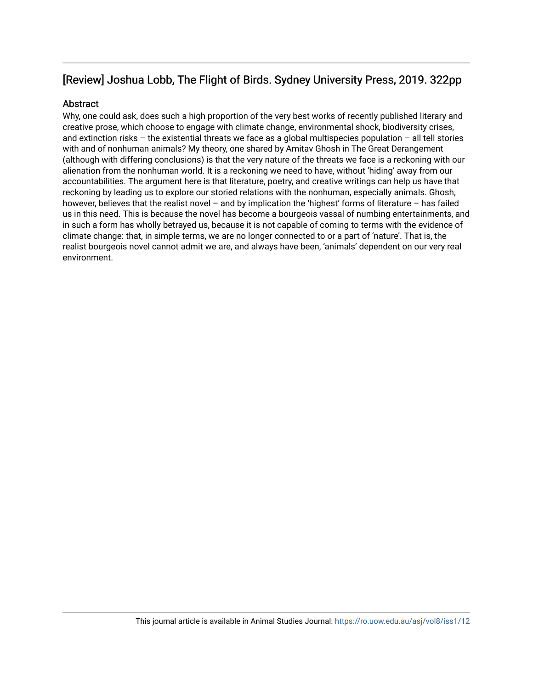## [Review] Joshua Lobb, The Flight of Birds. Sydney University Press, 2019. 322pp

#### Abstract

Why, one could ask, does such a high proportion of the very best works of recently published literary and creative prose, which choose to engage with climate change, environmental shock, biodiversity crises, and extinction risks – the existential threats we face as a global multispecies population – all tell stories with and of nonhuman animals? My theory, one shared by Amitav Ghosh in The Great Derangement (although with differing conclusions) is that the very nature of the threats we face is a reckoning with our alienation from the nonhuman world. It is a reckoning we need to have, without 'hiding' away from our accountabilities. The argument here is that literature, poetry, and creative writings can help us have that reckoning by leading us to explore our storied relations with the nonhuman, especially animals. Ghosh, however, believes that the realist novel – and by implication the 'highest' forms of literature – has failed us in this need. This is because the novel has become a bourgeois vassal of numbing entertainments, and in such a form has wholly betrayed us, because it is not capable of coming to terms with the evidence of climate change: that, in simple terms, we are no longer connected to or a part of 'nature'. That is, the realist bourgeois novel cannot admit we are, and always have been, 'animals' dependent on our very real environment.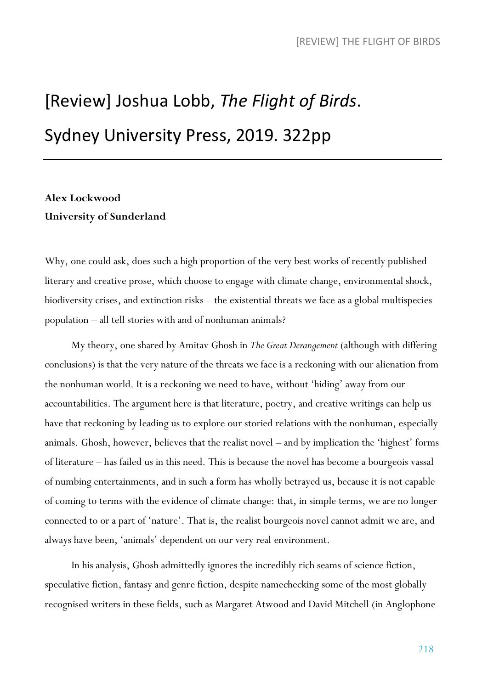# [Review] Joshua Lobb, *The Flight of Birds*. Sydney University Press, 2019. 322pp

## **Alex Lockwood University of Sunderland**

Why, one could ask, does such a high proportion of the very best works of recently published literary and creative prose, which choose to engage with climate change, environmental shock, biodiversity crises, and extinction risks – the existential threats we face as a global multispecies population – all tell stories with and of nonhuman animals?

My theory, one shared by Amitav Ghosh in *The Great Derangement* (although with differing conclusions) is that the very nature of the threats we face is a reckoning with our alienation from the nonhuman world. It is a reckoning we need to have, without 'hiding' away from our accountabilities. The argument here is that literature, poetry, and creative writings can help us have that reckoning by leading us to explore our storied relations with the nonhuman, especially animals. Ghosh, however, believes that the realist novel – and by implication the 'highest' forms of literature – has failed us in this need. This is because the novel has become a bourgeois vassal of numbing entertainments, and in such a form has wholly betrayed us, because it is not capable of coming to terms with the evidence of climate change: that, in simple terms, we are no longer connected to or a part of 'nature'. That is, the realist bourgeois novel cannot admit we are, and always have been, 'animals' dependent on our very real environment.

In his analysis, Ghosh admittedly ignores the incredibly rich seams of science fiction, speculative fiction, fantasy and genre fiction, despite namechecking some of the most globally recognised writers in these fields, such as Margaret Atwood and David Mitchell (in Anglophone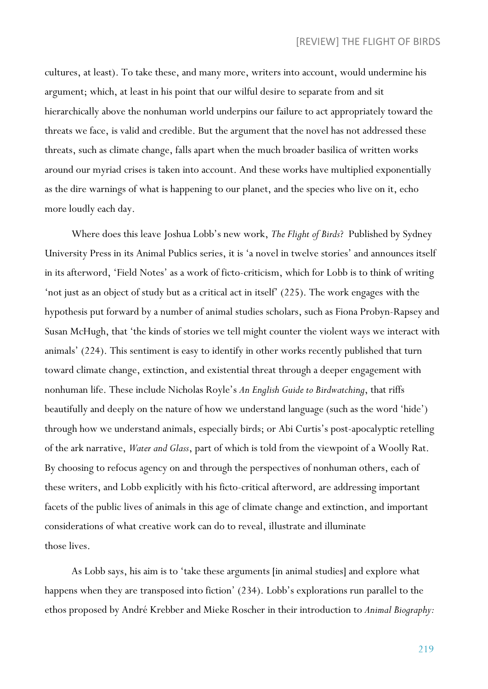cultures, at least). To take these, and many more, writers into account, would undermine his argument; which, at least in his point that our wilful desire to separate from and sit hierarchically above the nonhuman world underpins our failure to act appropriately toward the threats we face, is valid and credible. But the argument that the novel has not addressed these threats, such as climate change, falls apart when the much broader basilica of written works around our myriad crises is taken into account. And these works have multiplied exponentially as the dire warnings of what is happening to our planet, and the species who live on it, echo more loudly each day.

Where does this leave Joshua Lobb's new work, *The Flight of Birds*? Published by Sydney University Press in its Animal Publics series, it is 'a novel in twelve stories' and announces itself in its afterword, 'Field Notes' as a work of ficto-criticism, which for Lobb is to think of writing 'not just as an object of study but as a critical act in itself' (225). The work engages with the hypothesis put forward by a number of animal studies scholars, such as Fiona Probyn-Rapsey and Susan McHugh, that 'the kinds of stories we tell might counter the violent ways we interact with animals' (224). This sentiment is easy to identify in other works recently published that turn toward climate change, extinction, and existential threat through a deeper engagement with nonhuman life. These include Nicholas Royle's *An English Guide to Birdwatching*, that riffs beautifully and deeply on the nature of how we understand language (such as the word 'hide') through how we understand animals, especially birds; or Abi Curtis's post-apocalyptic retelling of the ark narrative, *Water and Glass*, part of which is told from the viewpoint of a Woolly Rat. By choosing to refocus agency on and through the perspectives of nonhuman others, each of these writers, and Lobb explicitly with his ficto-critical afterword, are addressing important facets of the public lives of animals in this age of climate change and extinction, and important considerations of what creative work can do to reveal, illustrate and illuminate those lives.

As Lobb says, his aim is to 'take these arguments [in animal studies] and explore what happens when they are transposed into fiction' (234). Lobb's explorations run parallel to the ethos proposed by André Krebber and Mieke Roscher in their introduction to *Animal Biography:*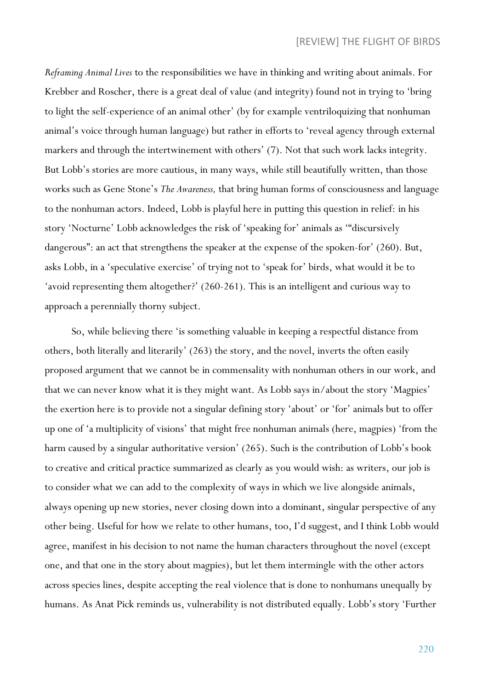*Reframing Animal Lives* to the responsibilities we have in thinking and writing about animals. For Krebber and Roscher, there is a great deal of value (and integrity) found not in trying to 'bring to light the self-experience of an animal other' (by for example ventriloquizing that nonhuman animal's voice through human language) but rather in efforts to 'reveal agency through external markers and through the intertwinement with others' (7). Not that such work lacks integrity. But Lobb's stories are more cautious, in many ways, while still beautifully written, than those works such as Gene Stone's *The Awareness,* that bring human forms of consciousness and language to the nonhuman actors. Indeed, Lobb is playful here in putting this question in relief: in his story 'Nocturne' Lobb acknowledges the risk of 'speaking for' animals as '"discursively dangerous": an act that strengthens the speaker at the expense of the spoken-for' (260). But, asks Lobb, in a 'speculative exercise' of trying not to 'speak for' birds, what would it be to 'avoid representing them altogether?' (260-261). This is an intelligent and curious way to approach a perennially thorny subject.

So, while believing there 'is something valuable in keeping a respectful distance from others, both literally and literarily' (263) the story, and the novel, inverts the often easily proposed argument that we cannot be in commensality with nonhuman others in our work, and that we can never know what it is they might want. As Lobb says in/about the story 'Magpies' the exertion here is to provide not a singular defining story 'about' or 'for' animals but to offer up one of 'a multiplicity of visions' that might free nonhuman animals (here, magpies) 'from the harm caused by a singular authoritative version' (265). Such is the contribution of Lobb's book to creative and critical practice summarized as clearly as you would wish: as writers, our job is to consider what we can add to the complexity of ways in which we live alongside animals, always opening up new stories, never closing down into a dominant, singular perspective of any other being. Useful for how we relate to other humans, too, I'd suggest, and I think Lobb would agree, manifest in his decision to not name the human characters throughout the novel (except one, and that one in the story about magpies), but let them intermingle with the other actors across species lines, despite accepting the real violence that is done to nonhumans unequally by humans. As Anat Pick reminds us, vulnerability is not distributed equally. Lobb's story 'Further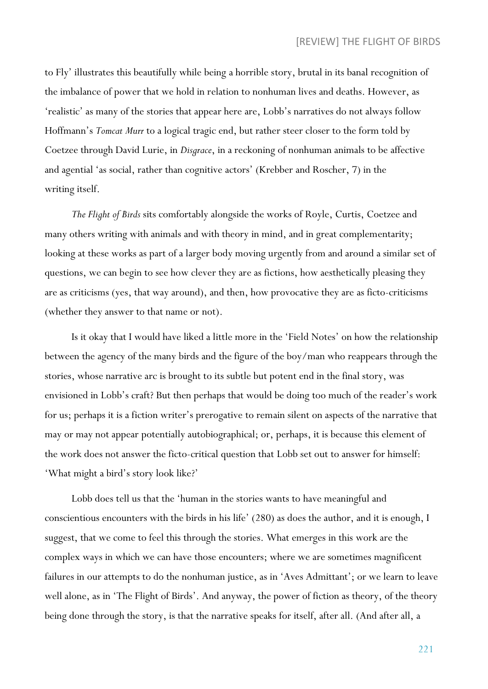to Fly' illustrates this beautifully while being a horrible story, brutal in its banal recognition of the imbalance of power that we hold in relation to nonhuman lives and deaths. However, as 'realistic' as many of the stories that appear here are, Lobb's narratives do not always follow Hoffmann's *Tomcat Murr* to a logical tragic end, but rather steer closer to the form told by Coetzee through David Lurie, in *Disgrace*, in a reckoning of nonhuman animals to be affective and agential 'as social, rather than cognitive actors' (Krebber and Roscher, 7) in the writing itself.

*The Flight of Birds* sits comfortably alongside the works of Royle, Curtis, Coetzee and many others writing with animals and with theory in mind, and in great complementarity; looking at these works as part of a larger body moving urgently from and around a similar set of questions, we can begin to see how clever they are as fictions, how aesthetically pleasing they are as criticisms (yes, that way around), and then, how provocative they are as ficto-criticisms (whether they answer to that name or not).

Is it okay that I would have liked a little more in the 'Field Notes' on how the relationship between the agency of the many birds and the figure of the boy/man who reappears through the stories, whose narrative arc is brought to its subtle but potent end in the final story, was envisioned in Lobb's craft? But then perhaps that would be doing too much of the reader's work for us; perhaps it is a fiction writer's prerogative to remain silent on aspects of the narrative that may or may not appear potentially autobiographical; or, perhaps, it is because this element of the work does not answer the ficto-critical question that Lobb set out to answer for himself: 'What might a bird's story look like?'

Lobb does tell us that the 'human in the stories wants to have meaningful and conscientious encounters with the birds in his life' (280) as does the author, and it is enough, I suggest, that we come to feel this through the stories. What emerges in this work are the complex ways in which we can have those encounters; where we are sometimes magnificent failures in our attempts to do the nonhuman justice, as in 'Aves Admittant'; or we learn to leave well alone, as in 'The Flight of Birds'. And anyway, the power of fiction as theory, of the theory being done through the story, is that the narrative speaks for itself, after all. (And after all, a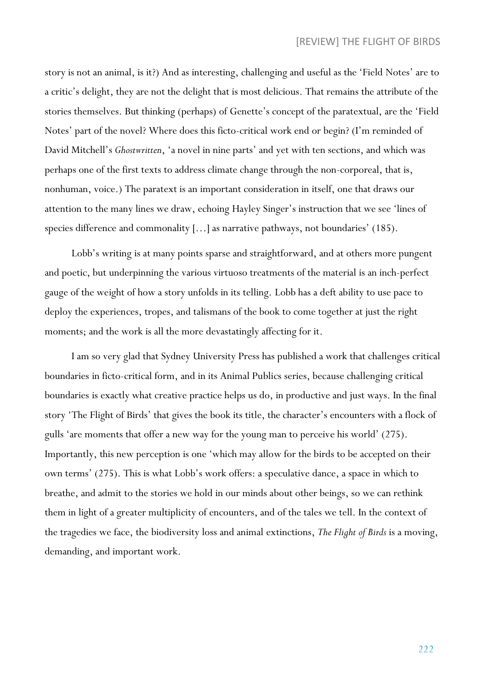story is not an animal, is it?) And as interesting, challenging and useful as the 'Field Notes' are to a critic's delight, they are not the delight that is most delicious. That remains the attribute of the stories themselves. But thinking (perhaps) of Genette's concept of the paratextual, are the 'Field Notes' part of the novel? Where does this ficto-critical work end or begin? (I'm reminded of David Mitchell's *Ghostwritten*, 'a novel in nine parts' and yet with ten sections, and which was perhaps one of the first texts to address climate change through the non-corporeal, that is, nonhuman, voice.) The paratext is an important consideration in itself, one that draws our attention to the many lines we draw, echoing Hayley Singer's instruction that we see 'lines of species difference and commonality [...] as narrative pathways, not boundaries' (185).

Lobb's writing is at many points sparse and straightforward, and at others more pungent and poetic, but underpinning the various virtuoso treatments of the material is an inch-perfect gauge of the weight of how a story unfolds in its telling. Lobb has a deft ability to use pace to deploy the experiences, tropes, and talismans of the book to come together at just the right moments; and the work is all the more devastatingly affecting for it.

I am so very glad that Sydney University Press has published a work that challenges critical boundaries in ficto-critical form, and in its Animal Publics series, because challenging critical boundaries is exactly what creative practice helps us do, in productive and just ways. In the final story 'The Flight of Birds' that gives the book its title, the character's encounters with a flock of gulls 'are moments that offer a new way for the young man to perceive his world' (275). Importantly, this new perception is one 'which may allow for the birds to be accepted on their own terms' (275). This is what Lobb's work offers: a speculative dance, a space in which to breathe, and admit to the stories we hold in our minds about other beings, so we can rethink them in light of a greater multiplicity of encounters, and of the tales we tell. In the context of the tragedies we face, the biodiversity loss and animal extinctions, *The Flight of Birds* is a moving, demanding, and important work.